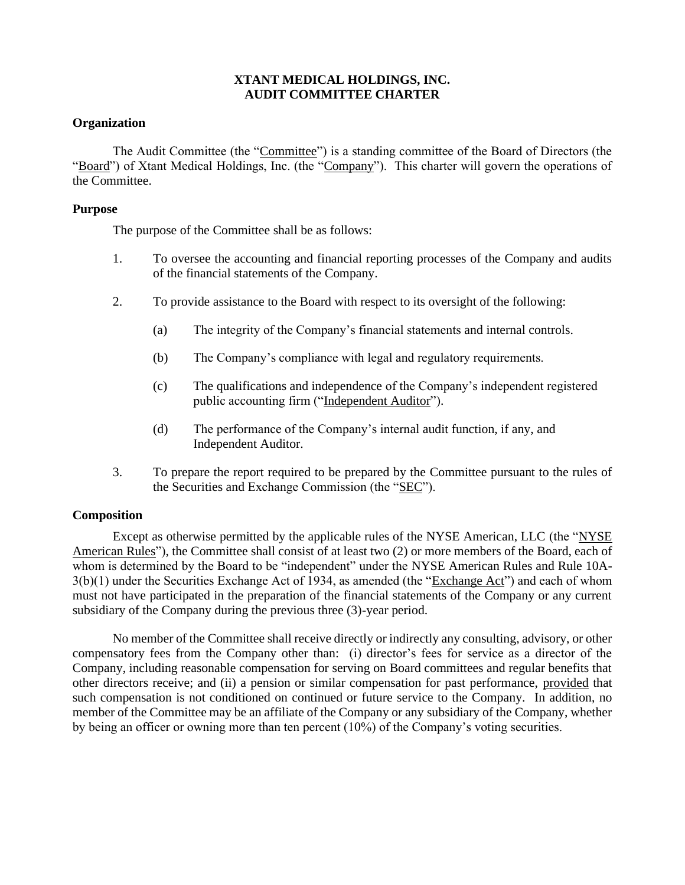## **XTANT MEDICAL HOLDINGS, INC. AUDIT COMMITTEE CHARTER**

## **Organization**

The Audit Committee (the "Committee") is a standing committee of the Board of Directors (the "Board") of Xtant Medical Holdings, Inc. (the "Company"). This charter will govern the operations of the Committee.

## **Purpose**

The purpose of the Committee shall be as follows:

- 1. To oversee the accounting and financial reporting processes of the Company and audits of the financial statements of the Company.
- 2. To provide assistance to the Board with respect to its oversight of the following:
	- (a) The integrity of the Company's financial statements and internal controls.
	- (b) The Company's compliance with legal and regulatory requirements.
	- (c) The qualifications and independence of the Company's independent registered public accounting firm ("Independent Auditor").
	- (d) The performance of the Company's internal audit function, if any, and Independent Auditor.
- 3. To prepare the report required to be prepared by the Committee pursuant to the rules of the Securities and Exchange Commission (the "SEC").

### **Composition**

Except as otherwise permitted by the applicable rules of the NYSE American, LLC (the "NYSE American Rules"), the Committee shall consist of at least two (2) or more members of the Board, each of whom is determined by the Board to be "independent" under the NYSE American Rules and Rule 10A-3(b)(1) under the Securities Exchange Act of 1934, as amended (the "Exchange Act") and each of whom must not have participated in the preparation of the financial statements of the Company or any current subsidiary of the Company during the previous three (3)-year period.

No member of the Committee shall receive directly or indirectly any consulting, advisory, or other compensatory fees from the Company other than: (i) director's fees for service as a director of the Company, including reasonable compensation for serving on Board committees and regular benefits that other directors receive; and (ii) a pension or similar compensation for past performance, provided that such compensation is not conditioned on continued or future service to the Company. In addition, no member of the Committee may be an affiliate of the Company or any subsidiary of the Company, whether by being an officer or owning more than ten percent (10%) of the Company's voting securities.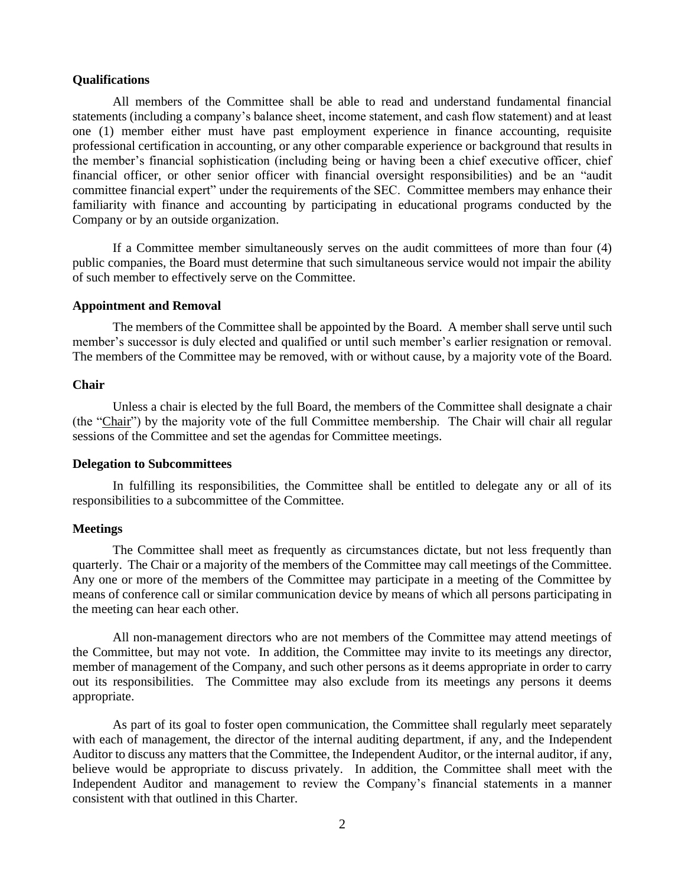#### **Qualifications**

All members of the Committee shall be able to read and understand fundamental financial statements (including a company's balance sheet, income statement, and cash flow statement) and at least one (1) member either must have past employment experience in finance accounting, requisite professional certification in accounting, or any other comparable experience or background that results in the member's financial sophistication (including being or having been a chief executive officer, chief financial officer, or other senior officer with financial oversight responsibilities) and be an "audit committee financial expert" under the requirements of the SEC. Committee members may enhance their familiarity with finance and accounting by participating in educational programs conducted by the Company or by an outside organization.

If a Committee member simultaneously serves on the audit committees of more than four (4) public companies, the Board must determine that such simultaneous service would not impair the ability of such member to effectively serve on the Committee.

#### **Appointment and Removal**

The members of the Committee shall be appointed by the Board. A member shall serve until such member's successor is duly elected and qualified or until such member's earlier resignation or removal. The members of the Committee may be removed, with or without cause, by a majority vote of the Board.

#### **Chair**

Unless a chair is elected by the full Board, the members of the Committee shall designate a chair (the "Chair") by the majority vote of the full Committee membership. The Chair will chair all regular sessions of the Committee and set the agendas for Committee meetings.

#### **Delegation to Subcommittees**

In fulfilling its responsibilities, the Committee shall be entitled to delegate any or all of its responsibilities to a subcommittee of the Committee.

### **Meetings**

The Committee shall meet as frequently as circumstances dictate, but not less frequently than quarterly. The Chair or a majority of the members of the Committee may call meetings of the Committee. Any one or more of the members of the Committee may participate in a meeting of the Committee by means of conference call or similar communication device by means of which all persons participating in the meeting can hear each other.

All non-management directors who are not members of the Committee may attend meetings of the Committee, but may not vote. In addition, the Committee may invite to its meetings any director, member of management of the Company, and such other persons as it deems appropriate in order to carry out its responsibilities. The Committee may also exclude from its meetings any persons it deems appropriate.

As part of its goal to foster open communication, the Committee shall regularly meet separately with each of management, the director of the internal auditing department, if any, and the Independent Auditor to discuss any matters that the Committee, the Independent Auditor, or the internal auditor, if any, believe would be appropriate to discuss privately. In addition, the Committee shall meet with the Independent Auditor and management to review the Company's financial statements in a manner consistent with that outlined in this Charter.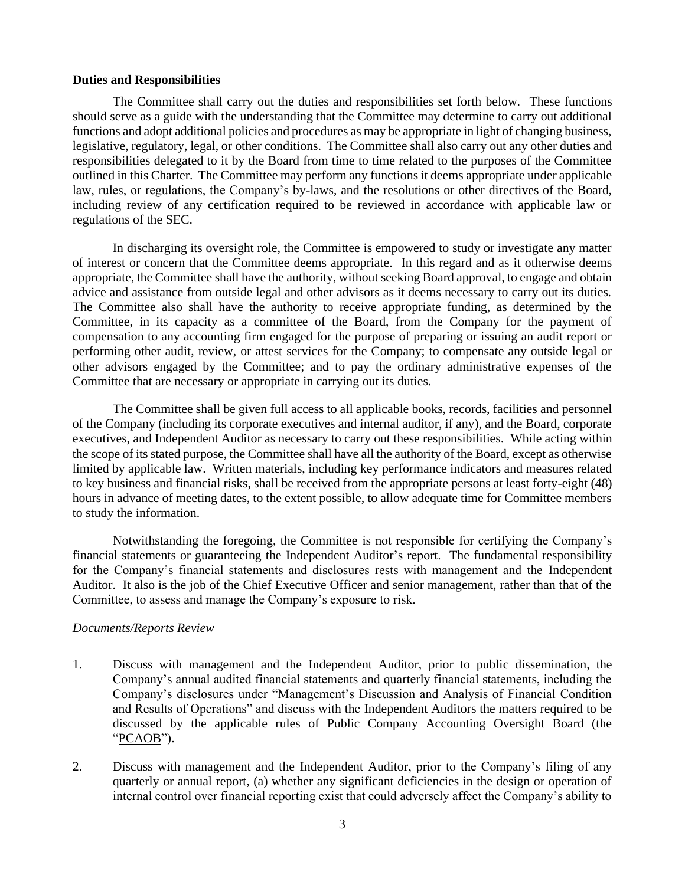#### **Duties and Responsibilities**

The Committee shall carry out the duties and responsibilities set forth below. These functions should serve as a guide with the understanding that the Committee may determine to carry out additional functions and adopt additional policies and procedures as may be appropriate in light of changing business, legislative, regulatory, legal, or other conditions. The Committee shall also carry out any other duties and responsibilities delegated to it by the Board from time to time related to the purposes of the Committee outlined in this Charter. The Committee may perform any functions it deems appropriate under applicable law, rules, or regulations, the Company's by-laws, and the resolutions or other directives of the Board, including review of any certification required to be reviewed in accordance with applicable law or regulations of the SEC.

In discharging its oversight role, the Committee is empowered to study or investigate any matter of interest or concern that the Committee deems appropriate. In this regard and as it otherwise deems appropriate, the Committee shall have the authority, without seeking Board approval, to engage and obtain advice and assistance from outside legal and other advisors as it deems necessary to carry out its duties. The Committee also shall have the authority to receive appropriate funding, as determined by the Committee, in its capacity as a committee of the Board, from the Company for the payment of compensation to any accounting firm engaged for the purpose of preparing or issuing an audit report or performing other audit, review, or attest services for the Company; to compensate any outside legal or other advisors engaged by the Committee; and to pay the ordinary administrative expenses of the Committee that are necessary or appropriate in carrying out its duties.

The Committee shall be given full access to all applicable books, records, facilities and personnel of the Company (including its corporate executives and internal auditor, if any), and the Board, corporate executives, and Independent Auditor as necessary to carry out these responsibilities. While acting within the scope of its stated purpose, the Committee shall have all the authority of the Board, except as otherwise limited by applicable law. Written materials, including key performance indicators and measures related to key business and financial risks, shall be received from the appropriate persons at least forty-eight (48) hours in advance of meeting dates, to the extent possible, to allow adequate time for Committee members to study the information.

Notwithstanding the foregoing, the Committee is not responsible for certifying the Company's financial statements or guaranteeing the Independent Auditor's report. The fundamental responsibility for the Company's financial statements and disclosures rests with management and the Independent Auditor. It also is the job of the Chief Executive Officer and senior management, rather than that of the Committee, to assess and manage the Company's exposure to risk.

### *Documents/Reports Review*

- 1. Discuss with management and the Independent Auditor, prior to public dissemination, the Company's annual audited financial statements and quarterly financial statements, including the Company's disclosures under "Management's Discussion and Analysis of Financial Condition and Results of Operations" and discuss with the Independent Auditors the matters required to be discussed by the applicable rules of Public Company Accounting Oversight Board (the "PCAOB").
- 2. Discuss with management and the Independent Auditor, prior to the Company's filing of any quarterly or annual report, (a) whether any significant deficiencies in the design or operation of internal control over financial reporting exist that could adversely affect the Company's ability to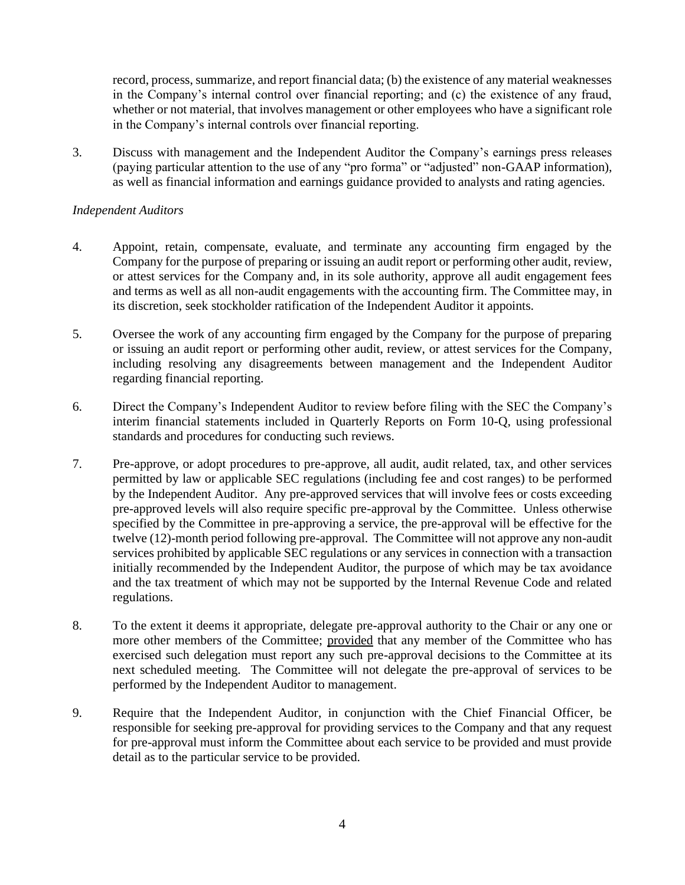record, process, summarize, and report financial data; (b) the existence of any material weaknesses in the Company's internal control over financial reporting; and (c) the existence of any fraud, whether or not material, that involves management or other employees who have a significant role in the Company's internal controls over financial reporting.

3. Discuss with management and the Independent Auditor the Company's earnings press releases (paying particular attention to the use of any "pro forma" or "adjusted" non-GAAP information), as well as financial information and earnings guidance provided to analysts and rating agencies.

## *Independent Auditors*

- 4. Appoint, retain, compensate, evaluate, and terminate any accounting firm engaged by the Company for the purpose of preparing or issuing an audit report or performing other audit, review, or attest services for the Company and, in its sole authority, approve all audit engagement fees and terms as well as all non-audit engagements with the accounting firm. The Committee may, in its discretion, seek stockholder ratification of the Independent Auditor it appoints.
- 5. Oversee the work of any accounting firm engaged by the Company for the purpose of preparing or issuing an audit report or performing other audit, review, or attest services for the Company, including resolving any disagreements between management and the Independent Auditor regarding financial reporting.
- 6. Direct the Company's Independent Auditor to review before filing with the SEC the Company's interim financial statements included in Quarterly Reports on Form 10-Q, using professional standards and procedures for conducting such reviews.
- 7. Pre-approve, or adopt procedures to pre-approve, all audit, audit related, tax, and other services permitted by law or applicable SEC regulations (including fee and cost ranges) to be performed by the Independent Auditor. Any pre-approved services that will involve fees or costs exceeding pre-approved levels will also require specific pre-approval by the Committee. Unless otherwise specified by the Committee in pre-approving a service, the pre-approval will be effective for the twelve (12)-month period following pre-approval. The Committee will not approve any non-audit services prohibited by applicable SEC regulations or any services in connection with a transaction initially recommended by the Independent Auditor, the purpose of which may be tax avoidance and the tax treatment of which may not be supported by the Internal Revenue Code and related regulations.
- 8. To the extent it deems it appropriate, delegate pre-approval authority to the Chair or any one or more other members of the Committee; provided that any member of the Committee who has exercised such delegation must report any such pre-approval decisions to the Committee at its next scheduled meeting. The Committee will not delegate the pre-approval of services to be performed by the Independent Auditor to management.
- 9. Require that the Independent Auditor, in conjunction with the Chief Financial Officer, be responsible for seeking pre-approval for providing services to the Company and that any request for pre-approval must inform the Committee about each service to be provided and must provide detail as to the particular service to be provided.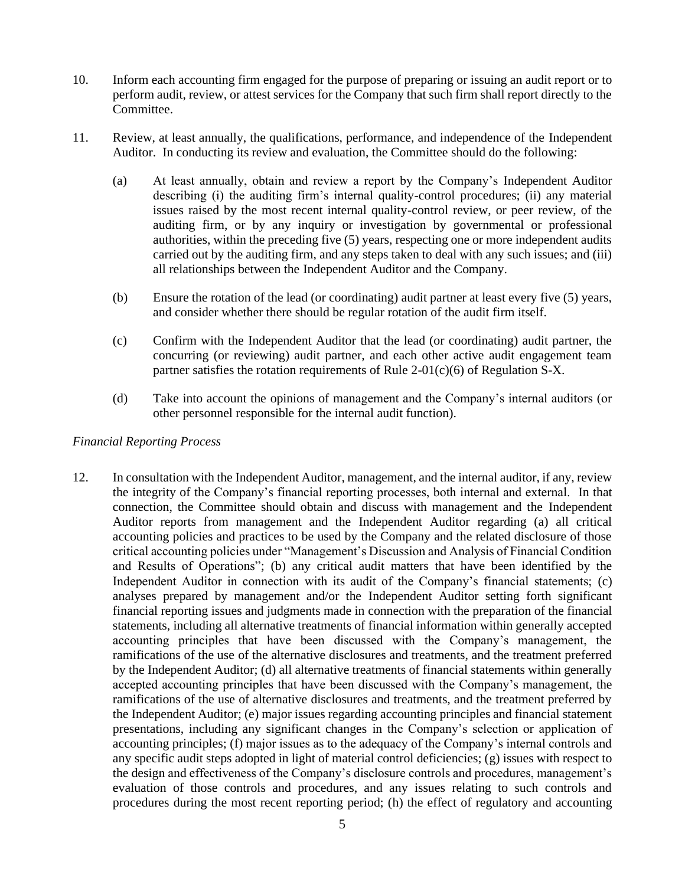- 10. Inform each accounting firm engaged for the purpose of preparing or issuing an audit report or to perform audit, review, or attest services for the Company that such firm shall report directly to the Committee.
- 11. Review, at least annually, the qualifications, performance, and independence of the Independent Auditor. In conducting its review and evaluation, the Committee should do the following:
	- (a) At least annually, obtain and review a report by the Company's Independent Auditor describing (i) the auditing firm's internal quality-control procedures; (ii) any material issues raised by the most recent internal quality-control review, or peer review, of the auditing firm, or by any inquiry or investigation by governmental or professional authorities, within the preceding five (5) years, respecting one or more independent audits carried out by the auditing firm, and any steps taken to deal with any such issues; and (iii) all relationships between the Independent Auditor and the Company.
	- (b) Ensure the rotation of the lead (or coordinating) audit partner at least every five (5) years, and consider whether there should be regular rotation of the audit firm itself.
	- (c) Confirm with the Independent Auditor that the lead (or coordinating) audit partner, the concurring (or reviewing) audit partner, and each other active audit engagement team partner satisfies the rotation requirements of Rule 2-01(c)(6) of Regulation S-X.
	- (d) Take into account the opinions of management and the Company's internal auditors (or other personnel responsible for the internal audit function).

## *Financial Reporting Process*

12. In consultation with the Independent Auditor, management, and the internal auditor, if any, review the integrity of the Company's financial reporting processes, both internal and external. In that connection, the Committee should obtain and discuss with management and the Independent Auditor reports from management and the Independent Auditor regarding (a) all critical accounting policies and practices to be used by the Company and the related disclosure of those critical accounting policies under "Management's Discussion and Analysis of Financial Condition and Results of Operations"; (b) any critical audit matters that have been identified by the Independent Auditor in connection with its audit of the Company's financial statements; (c) analyses prepared by management and/or the Independent Auditor setting forth significant financial reporting issues and judgments made in connection with the preparation of the financial statements, including all alternative treatments of financial information within generally accepted accounting principles that have been discussed with the Company's management, the ramifications of the use of the alternative disclosures and treatments, and the treatment preferred by the Independent Auditor; (d) all alternative treatments of financial statements within generally accepted accounting principles that have been discussed with the Company's management, the ramifications of the use of alternative disclosures and treatments, and the treatment preferred by the Independent Auditor; (e) major issues regarding accounting principles and financial statement presentations, including any significant changes in the Company's selection or application of accounting principles; (f) major issues as to the adequacy of the Company's internal controls and any specific audit steps adopted in light of material control deficiencies; (g) issues with respect to the design and effectiveness of the Company's disclosure controls and procedures, management's evaluation of those controls and procedures, and any issues relating to such controls and procedures during the most recent reporting period; (h) the effect of regulatory and accounting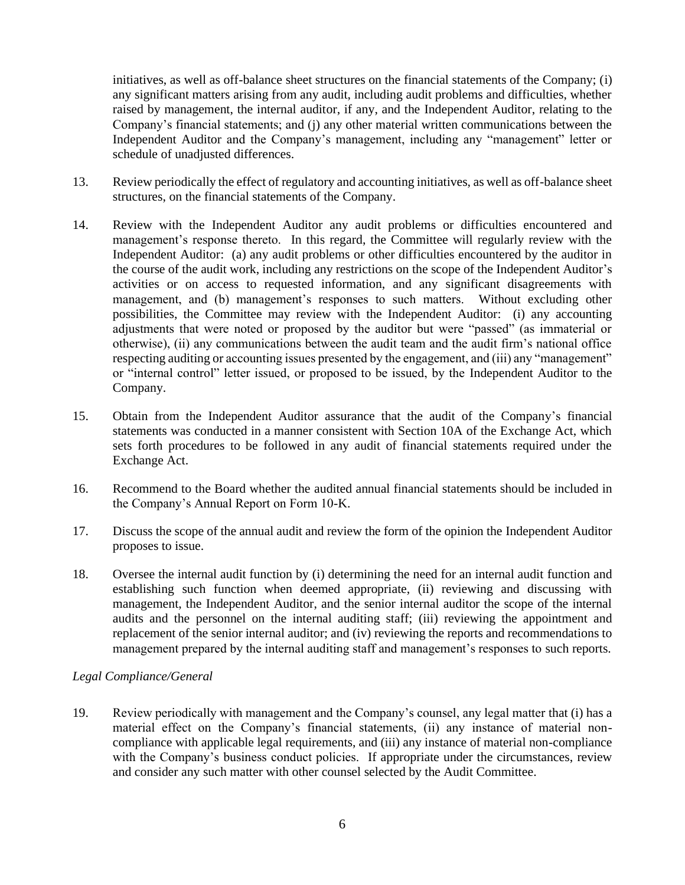initiatives, as well as off-balance sheet structures on the financial statements of the Company; (i) any significant matters arising from any audit, including audit problems and difficulties, whether raised by management, the internal auditor, if any, and the Independent Auditor, relating to the Company's financial statements; and (j) any other material written communications between the Independent Auditor and the Company's management, including any "management" letter or schedule of unadjusted differences.

- 13. Review periodically the effect of regulatory and accounting initiatives, as well as off-balance sheet structures, on the financial statements of the Company.
- 14. Review with the Independent Auditor any audit problems or difficulties encountered and management's response thereto. In this regard, the Committee will regularly review with the Independent Auditor: (a) any audit problems or other difficulties encountered by the auditor in the course of the audit work, including any restrictions on the scope of the Independent Auditor's activities or on access to requested information, and any significant disagreements with management, and (b) management's responses to such matters. Without excluding other possibilities, the Committee may review with the Independent Auditor: (i) any accounting adjustments that were noted or proposed by the auditor but were "passed" (as immaterial or otherwise), (ii) any communications between the audit team and the audit firm's national office respecting auditing or accounting issues presented by the engagement, and (iii) any "management" or "internal control" letter issued, or proposed to be issued, by the Independent Auditor to the Company.
- 15. Obtain from the Independent Auditor assurance that the audit of the Company's financial statements was conducted in a manner consistent with Section 10A of the Exchange Act, which sets forth procedures to be followed in any audit of financial statements required under the Exchange Act.
- 16. Recommend to the Board whether the audited annual financial statements should be included in the Company's Annual Report on Form 10-K.
- 17. Discuss the scope of the annual audit and review the form of the opinion the Independent Auditor proposes to issue.
- 18. Oversee the internal audit function by (i) determining the need for an internal audit function and establishing such function when deemed appropriate, (ii) reviewing and discussing with management, the Independent Auditor, and the senior internal auditor the scope of the internal audits and the personnel on the internal auditing staff; (iii) reviewing the appointment and replacement of the senior internal auditor; and (iv) reviewing the reports and recommendations to management prepared by the internal auditing staff and management's responses to such reports.

# *Legal Compliance/General*

19. Review periodically with management and the Company's counsel, any legal matter that (i) has a material effect on the Company's financial statements, (ii) any instance of material noncompliance with applicable legal requirements, and (iii) any instance of material non-compliance with the Company's business conduct policies. If appropriate under the circumstances, review and consider any such matter with other counsel selected by the Audit Committee.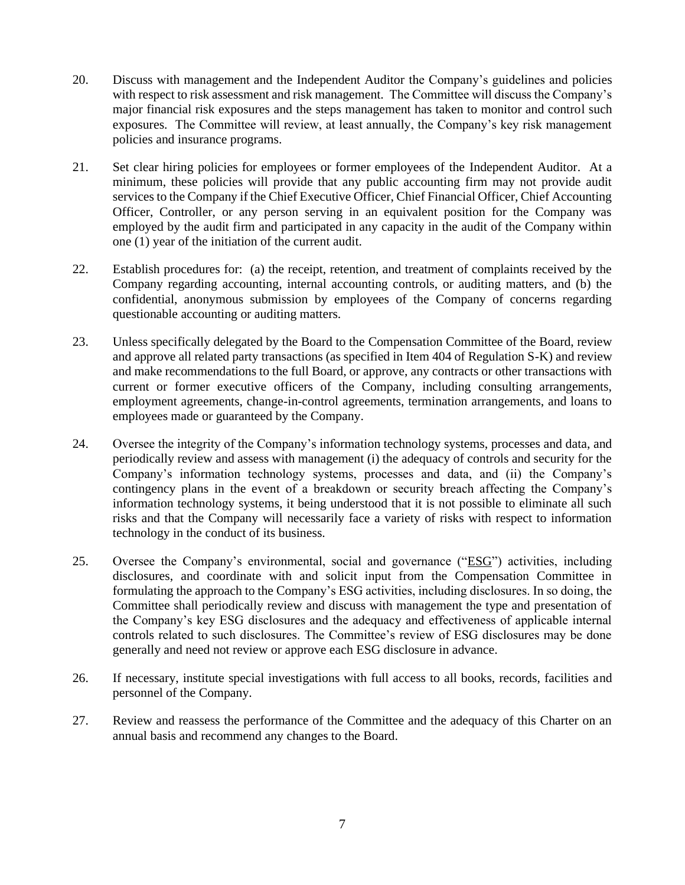- 20. Discuss with management and the Independent Auditor the Company's guidelines and policies with respect to risk assessment and risk management. The Committee will discuss the Company's major financial risk exposures and the steps management has taken to monitor and control such exposures. The Committee will review, at least annually, the Company's key risk management policies and insurance programs.
- 21. Set clear hiring policies for employees or former employees of the Independent Auditor. At a minimum, these policies will provide that any public accounting firm may not provide audit services to the Company if the Chief Executive Officer, Chief Financial Officer, Chief Accounting Officer, Controller, or any person serving in an equivalent position for the Company was employed by the audit firm and participated in any capacity in the audit of the Company within one (1) year of the initiation of the current audit.
- 22. Establish procedures for: (a) the receipt, retention, and treatment of complaints received by the Company regarding accounting, internal accounting controls, or auditing matters, and (b) the confidential, anonymous submission by employees of the Company of concerns regarding questionable accounting or auditing matters.
- 23. Unless specifically delegated by the Board to the Compensation Committee of the Board, review and approve all related party transactions (as specified in Item 404 of Regulation S-K) and review and make recommendations to the full Board, or approve, any contracts or other transactions with current or former executive officers of the Company, including consulting arrangements, employment agreements, change-in-control agreements, termination arrangements, and loans to employees made or guaranteed by the Company.
- 24. Oversee the integrity of the Company's information technology systems, processes and data, and periodically review and assess with management (i) the adequacy of controls and security for the Company's information technology systems, processes and data, and (ii) the Company's contingency plans in the event of a breakdown or security breach affecting the Company's information technology systems, it being understood that it is not possible to eliminate all such risks and that the Company will necessarily face a variety of risks with respect to information technology in the conduct of its business.
- 25. Oversee the Company's environmental, social and governance ("ESG") activities, including disclosures, and coordinate with and solicit input from the Compensation Committee in formulating the approach to the Company's ESG activities, including disclosures. In so doing, the Committee shall periodically review and discuss with management the type and presentation of the Company's key ESG disclosures and the adequacy and effectiveness of applicable internal controls related to such disclosures. The Committee's review of ESG disclosures may be done generally and need not review or approve each ESG disclosure in advance.
- 26. If necessary, institute special investigations with full access to all books, records, facilities and personnel of the Company.
- 27. Review and reassess the performance of the Committee and the adequacy of this Charter on an annual basis and recommend any changes to the Board.